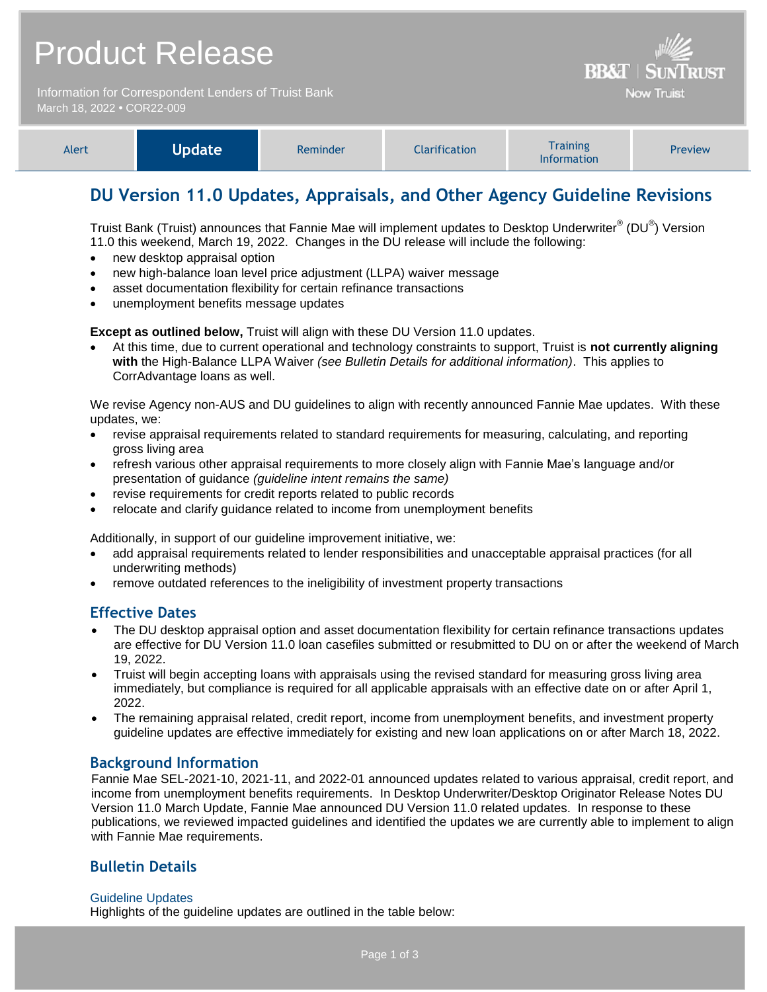|                                                                                    | <b>Product Release</b> | <b>BB&amp;T   SUNTRUST</b> |                      |                                       |         |  |
|------------------------------------------------------------------------------------|------------------------|----------------------------|----------------------|---------------------------------------|---------|--|
| Information for Correspondent Lenders of Truist Bank<br>March 18, 2022 . COR22-009 |                        |                            |                      | <b>Now Truist</b>                     |         |  |
| Alert                                                                              | <b>Update</b>          | Reminder                   | <b>Clarification</b> | <b>Training</b><br><b>Information</b> | Preview |  |

# **DU Version 11.0 Updates, Appraisals, and Other Agency Guideline Revisions**

Truist Bank (Truist) announces that Fannie Mae will implement updates to Desktop Underwriter® (DU®) Version 11.0 this weekend, March 19, 2022. Changes in the DU release will include the following:

- new desktop appraisal option
- new high-balance loan level price adjustment (LLPA) waiver message
- asset documentation flexibility for certain refinance transactions
- unemployment benefits message updates

**Except as outlined below,** Truist will align with these DU Version 11.0 updates.

 At this time, due to current operational and technology constraints to support, Truist is **not currently aligning with** the High-Balance LLPA Waiver *(see Bulletin Details for additional information)*. This applies to CorrAdvantage loans as well.

We revise Agency non-AUS and DU guidelines to align with recently announced Fannie Mae updates. With these updates, we:

- revise appraisal requirements related to standard requirements for measuring, calculating, and reporting gross living area
- refresh various other appraisal requirements to more closely align with Fannie Mae's language and/or presentation of guidance *(guideline intent remains the same)*
- revise requirements for credit reports related to public records
- relocate and clarify guidance related to income from unemployment benefits

Additionally, in support of our guideline improvement initiative, we:

- add appraisal requirements related to lender responsibilities and unacceptable appraisal practices (for all underwriting methods)
- remove outdated references to the ineligibility of investment property transactions

## **Effective Dates**

- The DU desktop appraisal option and asset documentation flexibility for certain refinance transactions updates are effective for DU Version 11.0 loan casefiles submitted or resubmitted to DU on or after the weekend of March 19, 2022.
- Truist will begin accepting loans with appraisals using the revised standard for measuring gross living area immediately, but compliance is required for all applicable appraisals with an effective date on or after April 1, 2022.
- The remaining appraisal related, credit report, income from unemployment benefits, and investment property guideline updates are effective immediately for existing and new loan applications on or after March 18, 2022.

## **Background Information**

Fannie Mae SEL-2021-10, 2021-11, and 2022-01 announced updates related to various appraisal, credit report, and income from unemployment benefits requirements. In Desktop Underwriter/Desktop Originator Release Notes DU Version 11.0 March Update, Fannie Mae announced DU Version 11.0 related updates. In response to these publications, we reviewed impacted guidelines and identified the updates we are currently able to implement to align with Fannie Mae requirements.

## **Bulletin Details**

#### Guideline Updates

Highlights of the guideline updates are outlined in the table below: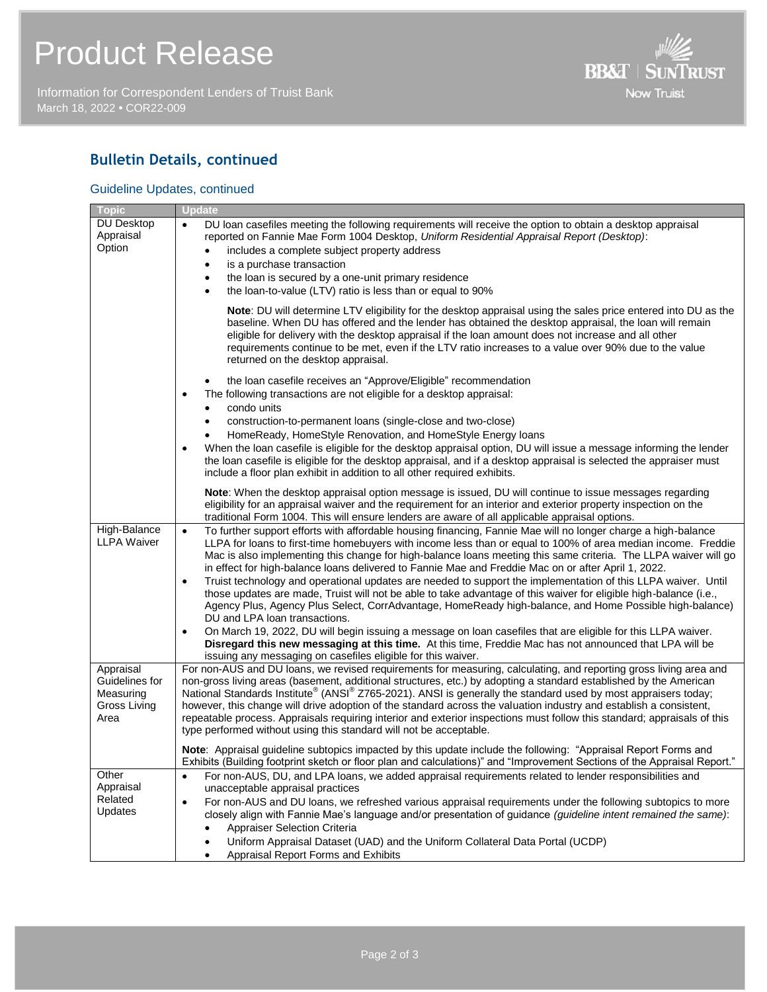Information for Correspondent Lenders of Truist Bank March 18, 2022 **•** COR22-009



## **Bulletin Details, continued**

### Guideline Updates, continued

| <b>Topic</b>                             | <b>Update</b>                                                                                                                                                                                                                                                                                                                                                                                                                                                                                                                                                                                                                                                                                                                                                                                                                                                                                                                                                                                                                                                                                                |
|------------------------------------------|--------------------------------------------------------------------------------------------------------------------------------------------------------------------------------------------------------------------------------------------------------------------------------------------------------------------------------------------------------------------------------------------------------------------------------------------------------------------------------------------------------------------------------------------------------------------------------------------------------------------------------------------------------------------------------------------------------------------------------------------------------------------------------------------------------------------------------------------------------------------------------------------------------------------------------------------------------------------------------------------------------------------------------------------------------------------------------------------------------------|
| <b>DU Desktop</b><br>Appraisal<br>Option | DU loan casefiles meeting the following requirements will receive the option to obtain a desktop appraisal<br>$\bullet$<br>reported on Fannie Mae Form 1004 Desktop, Uniform Residential Appraisal Report (Desktop):<br>includes a complete subject property address<br>is a purchase transaction<br>$\bullet$<br>the loan is secured by a one-unit primary residence<br>$\bullet$<br>the loan-to-value (LTV) ratio is less than or equal to 90%<br>٠                                                                                                                                                                                                                                                                                                                                                                                                                                                                                                                                                                                                                                                        |
|                                          | Note: DU will determine LTV eligibility for the desktop appraisal using the sales price entered into DU as the<br>baseline. When DU has offered and the lender has obtained the desktop appraisal, the loan will remain<br>eligible for delivery with the desktop appraisal if the loan amount does not increase and all other<br>requirements continue to be met, even if the LTV ratio increases to a value over 90% due to the value<br>returned on the desktop appraisal.                                                                                                                                                                                                                                                                                                                                                                                                                                                                                                                                                                                                                                |
|                                          | the loan casefile receives an "Approve/Eligible" recommendation<br>The following transactions are not eligible for a desktop appraisal:<br>$\bullet$<br>condo units<br>$\bullet$<br>construction-to-permanent loans (single-close and two-close)<br>HomeReady, HomeStyle Renovation, and HomeStyle Energy loans<br>When the loan casefile is eligible for the desktop appraisal option, DU will issue a message informing the lender<br>٠<br>the loan casefile is eligible for the desktop appraisal, and if a desktop appraisal is selected the appraiser must<br>include a floor plan exhibit in addition to all other required exhibits.                                                                                                                                                                                                                                                                                                                                                                                                                                                                  |
|                                          | Note: When the desktop appraisal option message is issued, DU will continue to issue messages regarding<br>eligibility for an appraisal waiver and the requirement for an interior and exterior property inspection on the<br>traditional Form 1004. This will ensure lenders are aware of all applicable appraisal options.                                                                                                                                                                                                                                                                                                                                                                                                                                                                                                                                                                                                                                                                                                                                                                                 |
| High-Balance<br><b>LLPA Waiver</b>       | To further support efforts with affordable housing financing, Fannie Mae will no longer charge a high-balance<br>$\bullet$<br>LLPA for loans to first-time homebuyers with income less than or equal to 100% of area median income. Freddie<br>Mac is also implementing this change for high-balance loans meeting this same criteria. The LLPA waiver will go<br>in effect for high-balance loans delivered to Fannie Mae and Freddie Mac on or after April 1, 2022.<br>Truist technology and operational updates are needed to support the implementation of this LLPA waiver. Until<br>$\bullet$<br>those updates are made, Truist will not be able to take advantage of this waiver for eligible high-balance (i.e.,<br>Agency Plus, Agency Plus Select, CorrAdvantage, HomeReady high-balance, and Home Possible high-balance)<br>DU and LPA loan transactions.<br>On March 19, 2022, DU will begin issuing a message on loan casefiles that are eligible for this LLPA waiver.<br>$\bullet$<br>Disregard this new messaging at this time. At this time, Freddie Mac has not announced that LPA will be |
| Appraisal<br>Guidelines for              | issuing any messaging on casefiles eligible for this waiver.<br>For non-AUS and DU loans, we revised requirements for measuring, calculating, and reporting gross living area and<br>non-gross living areas (basement, additional structures, etc.) by adopting a standard established by the American                                                                                                                                                                                                                                                                                                                                                                                                                                                                                                                                                                                                                                                                                                                                                                                                       |
| Measuring<br>Gross Living<br>Area        | National Standards Institute <sup>®</sup> (ANSI <sup>®</sup> Z765-2021). ANSI is generally the standard used by most appraisers today;<br>however, this change will drive adoption of the standard across the valuation industry and establish a consistent,<br>repeatable process. Appraisals requiring interior and exterior inspections must follow this standard; appraisals of this<br>type performed without using this standard will not be acceptable.                                                                                                                                                                                                                                                                                                                                                                                                                                                                                                                                                                                                                                               |
|                                          | Note: Appraisal guideline subtopics impacted by this update include the following: "Appraisal Report Forms and<br>Exhibits (Building footprint sketch or floor plan and calculations)" and "Improvement Sections of the Appraisal Report."                                                                                                                                                                                                                                                                                                                                                                                                                                                                                                                                                                                                                                                                                                                                                                                                                                                                   |
| Other<br>Appraisal<br>Related<br>Updates | For non-AUS, DU, and LPA loans, we added appraisal requirements related to lender responsibilities and<br>٠<br>unacceptable appraisal practices<br>For non-AUS and DU loans, we refreshed various appraisal requirements under the following subtopics to more<br>$\bullet$<br>closely align with Fannie Mae's language and/or presentation of guidance (guideline intent remained the same):<br><b>Appraiser Selection Criteria</b><br>Uniform Appraisal Dataset (UAD) and the Uniform Collateral Data Portal (UCDP)<br>Appraisal Report Forms and Exhibits                                                                                                                                                                                                                                                                                                                                                                                                                                                                                                                                                 |